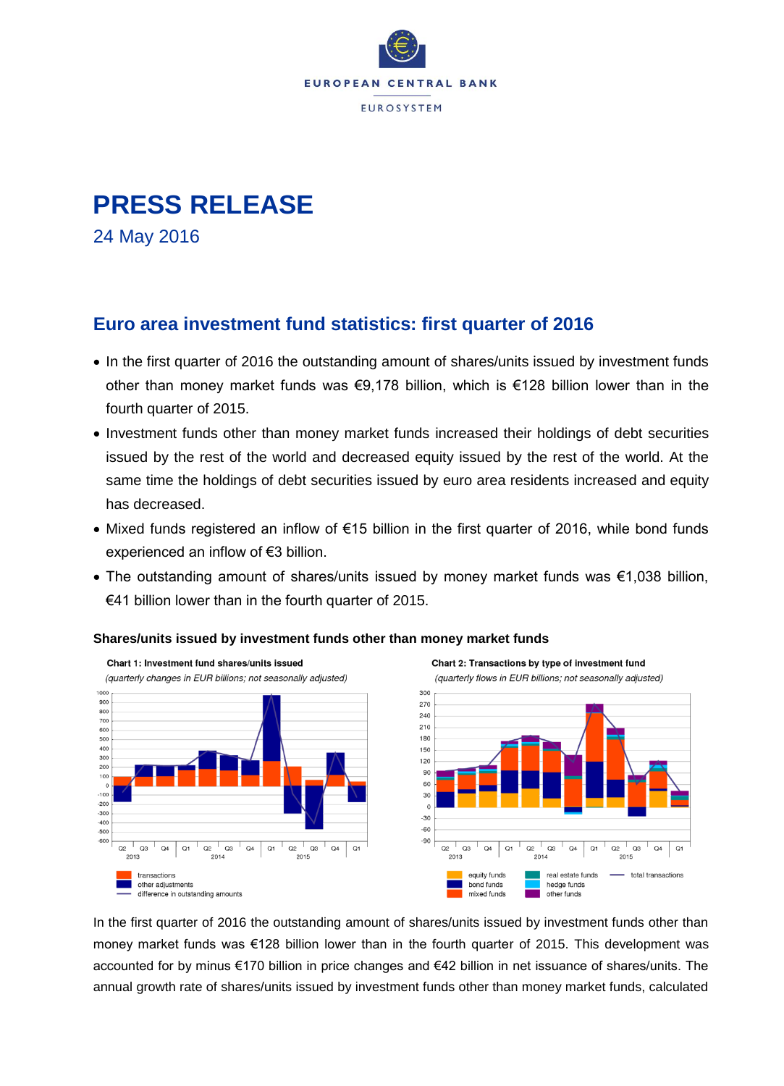

# **PRESS RELEASE**

24 May 2016

## **Euro area investment fund statistics: first quarter of 2016**

- In the first quarter of 2016 the outstanding amount of shares/units issued by investment funds other than money market funds was €9,178 billion, which is €128 billion lower than in the fourth quarter of 2015.
- Investment funds other than money market funds increased their holdings of debt securities issued by the rest of the world and decreased equity issued by the rest of the world. At the same time the holdings of debt securities issued by euro area residents increased and equity has decreased.
- Mixed funds registered an inflow of €15 billion in the first quarter of 2016, while bond funds experienced an inflow of €3 billion.
- The outstanding amount of shares/units issued by money market funds was €1,038 billion, €41 billion lower than in the fourth quarter of 2015.



### **Shares/units issued by investment funds other than money market funds**



In the first quarter of 2016 the outstanding amount of shares/units issued by investment funds other than money market funds was €128 billion lower than in the fourth quarter of 2015. This development was accounted for by minus €170 billion in price changes and €42 billion in net issuance of shares/units. The annual growth rate of shares/units issued by investment funds other than money market funds, calculated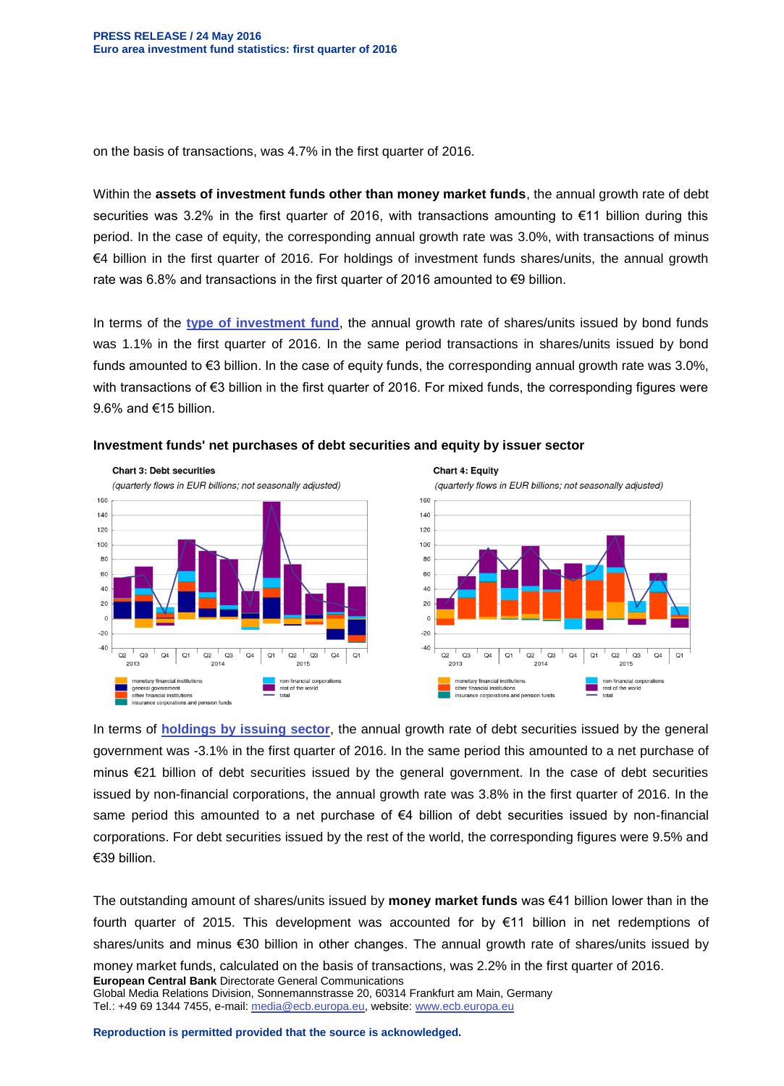on the basis of transactions, was 4.7% in the first quarter of 2016.

Within the **assets of investment funds other than money market funds**, the annual growth rate of debt securities was 3.2% in the first quarter of 2016, with transactions amounting to €11 billion during this period. In the case of equity, the corresponding annual growth rate was 3.0%, with transactions of minus €4 billion in the first quarter of 2016. For holdings of investment funds shares/units, the annual growth rate was 6.8% and transactions in the first quarter of 2016 amounted to €9 billion.

In terms of the **[type of investment fund](http://sdw.ecb.europa.eu/reports.do?node=1000003515)**, the annual growth rate of shares/units issued by bond funds was 1.1% in the first quarter of 2016. In the same period transactions in shares/units issued by bond funds amounted to €3 billion. In the case of equity funds, the corresponding annual growth rate was 3.0%, with transactions of €3 billion in the first quarter of 2016. For mixed funds, the corresponding figures were 9.6% and €15 billion.



#### **Investment funds' net purchases of debt securities and equity by issuer sector**



In terms of **[holdings by issuing sector](http://sdw.ecb.europa.eu/reports.do?node=1000003528)**, the annual growth rate of debt securities issued by the general government was -3.1% in the first quarter of 2016. In the same period this amounted to a net purchase of minus €21 billion of debt securities issued by the general government. In the case of debt securities issued by non-financial corporations, the annual growth rate was 3.8% in the first quarter of 2016. In the same period this amounted to a net purchase of €4 billion of debt securities issued by non-financial corporations. For debt securities issued by the rest of the world, the corresponding figures were 9.5% and €39 billion.

**European Central Bank** Directorate General Communications Global Media Relations Division, Sonnemannstrasse 20, 60314 Frankfurt am Main, Germany Tel.: +49 69 1344 7455, e-mail: [media@ecb.europa.eu,](mailto:media@ecb.europa.eu) website[: www.ecb.europa.eu](http://www.ecb.europa.eu/) The outstanding amount of shares/units issued by **money market funds** was €41 billion lower than in the fourth quarter of 2015. This development was accounted for by €11 billion in net redemptions of shares/units and minus €30 billion in other changes. The annual growth rate of shares/units issued by money market funds, calculated on the basis of transactions, was 2.2% in the first quarter of 2016.

**Reproduction is permitted provided that the source is acknowledged.**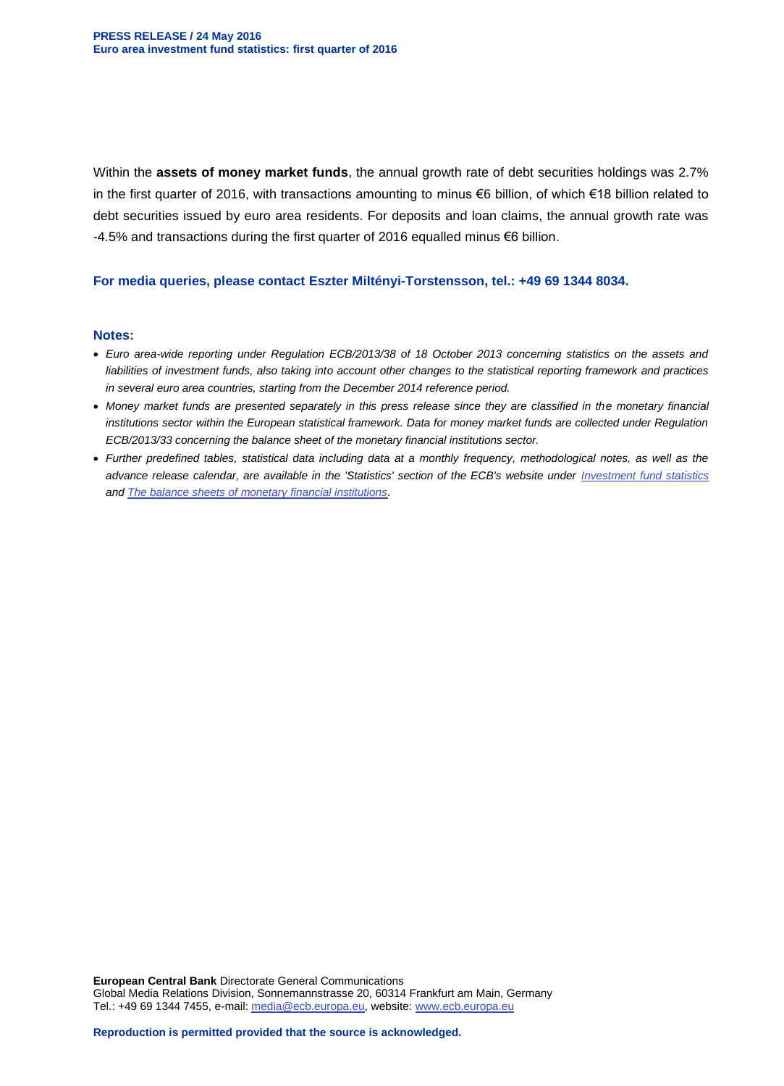Within the **assets of money market funds**, the annual growth rate of debt securities holdings was 2.7% in the first quarter of 2016, with transactions amounting to minus €6 billion, of which €18 billion related to debt securities issued by euro area residents. For deposits and loan claims, the annual growth rate was -4.5% and transactions during the first quarter of 2016 equalled minus €6 billion.

#### **For media queries, please contact Eszter Miltényi-Torstensson, tel.: +49 69 1344 8034.**

#### **Notes:**

- *Euro area-wide reporting under Regulation ECB/2013/38 of 18 October 2013 concerning statistics on the assets and liabilities of investment funds, also taking into account other changes to the statistical reporting framework and practices in several euro area countries, starting from the December 2014 reference period.*
- *Money market funds are presented separately in this press release since they are classified in the monetary financial institutions sector within the European statistical framework. Data for money market funds are collected under Regulation ECB/2013/33 concerning the balance sheet of the monetary financial institutions sector.*
- *Further predefined tables, statistical data including data at a monthly frequency, methodological notes, as well as the advance release calendar, are available in the 'Statistics' section of the ECB's website under [Investment fund statistics](http://www.ecb.europa.eu/stats/money/funds/html/index.en.html) and [The balance sheets of monetary financial institutions.](http://www.ecb.europa.eu/stats/money/aggregates/bsheets/html/index.en.html)*